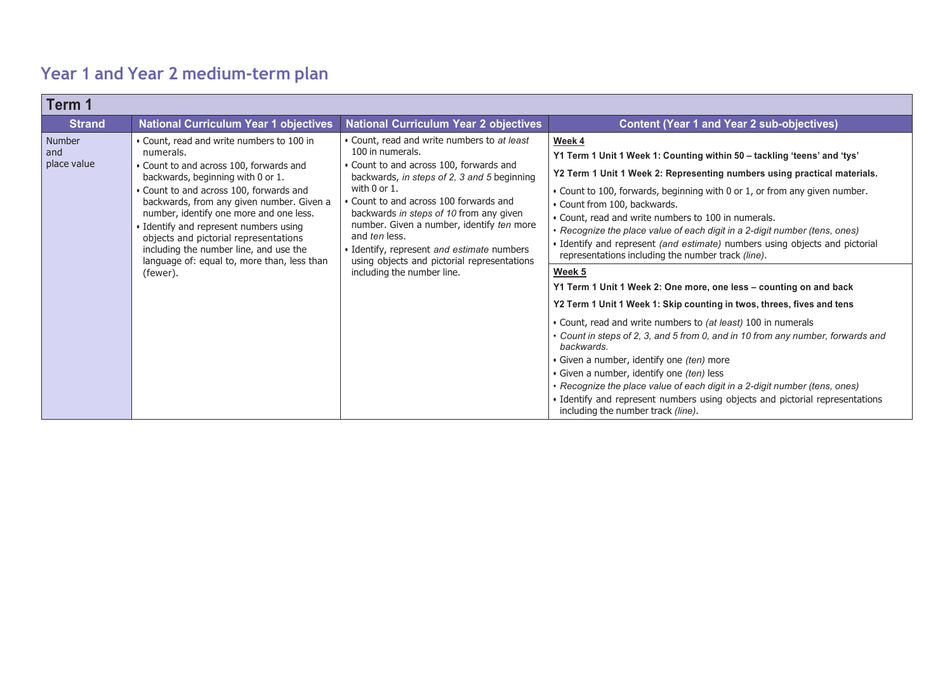## **Year 1 and Year 2 medium-term plan**

| Term 1                       |                                                                                                                                                                                                                                                                                                                                                                                                                                                                 |                                                                                                                                                                                                                                                                                                                                                                                                                                                              |                                                                                                                                                                                                                                                                                                                                                                                                                                                                                                                                                                                                                                                                                                                                                                                                                                                                                                                                                                                                                                                                                                                                                                                         |
|------------------------------|-----------------------------------------------------------------------------------------------------------------------------------------------------------------------------------------------------------------------------------------------------------------------------------------------------------------------------------------------------------------------------------------------------------------------------------------------------------------|--------------------------------------------------------------------------------------------------------------------------------------------------------------------------------------------------------------------------------------------------------------------------------------------------------------------------------------------------------------------------------------------------------------------------------------------------------------|-----------------------------------------------------------------------------------------------------------------------------------------------------------------------------------------------------------------------------------------------------------------------------------------------------------------------------------------------------------------------------------------------------------------------------------------------------------------------------------------------------------------------------------------------------------------------------------------------------------------------------------------------------------------------------------------------------------------------------------------------------------------------------------------------------------------------------------------------------------------------------------------------------------------------------------------------------------------------------------------------------------------------------------------------------------------------------------------------------------------------------------------------------------------------------------------|
| <b>Strand</b>                | <b>National Curriculum Year 1 objectives</b>                                                                                                                                                                                                                                                                                                                                                                                                                    | <b>National Curriculum Year 2 objectives</b>                                                                                                                                                                                                                                                                                                                                                                                                                 | <b>Content (Year 1 and Year 2 sub-objectives)</b>                                                                                                                                                                                                                                                                                                                                                                                                                                                                                                                                                                                                                                                                                                                                                                                                                                                                                                                                                                                                                                                                                                                                       |
| Number<br>and<br>place value | • Count, read and write numbers to 100 in<br>numerals.<br>• Count to and across 100, forwards and<br>backwards, beginning with 0 or 1.<br>• Count to and across 100, forwards and<br>backwards, from any given number. Given a<br>number, identify one more and one less.<br>Identify and represent numbers using<br>objects and pictorial representations<br>including the number line, and use the<br>language of: equal to, more than, less than<br>(fewer). | • Count, read and write numbers to at least<br>100 in numerals.<br>• Count to and across 100, forwards and<br>backwards, in steps of 2, 3 and 5 beginning<br>with $0$ or $1$ .<br>• Count to and across 100 forwards and<br>backwards in steps of 10 from any given<br>number. Given a number, identify ten more<br>and ten less.<br>· Identify, represent and estimate numbers<br>using objects and pictorial representations<br>including the number line. | Week 4<br>Y1 Term 1 Unit 1 Week 1: Counting within 50 - tackling 'teens' and 'tys'<br>Y2 Term 1 Unit 1 Week 2: Representing numbers using practical materials.<br>• Count to 100, forwards, beginning with 0 or 1, or from any given number.<br>• Count from 100, backwards.<br>• Count, read and write numbers to 100 in numerals.<br>• Recognize the place value of each digit in a 2-digit number (tens, ones)<br>• Identify and represent (and estimate) numbers using objects and pictorial<br>representations including the number track (line).<br>Week 5<br>Y1 Term 1 Unit 1 Week 2: One more, one less – counting on and back<br>Y2 Term 1 Unit 1 Week 1: Skip counting in twos, threes, fives and tens<br>• Count, read and write numbers to (at least) 100 in numerals<br>• Count in steps of 2, 3, and 5 from 0, and in 10 from any number, forwards and<br>backwards.<br>• Given a number, identify one <i>(ten)</i> more<br>· Given a number, identify one (ten) less<br>• Recognize the place value of each digit in a 2-digit number (tens, ones)<br>• Identify and represent numbers using objects and pictorial representations<br>including the number track (line). |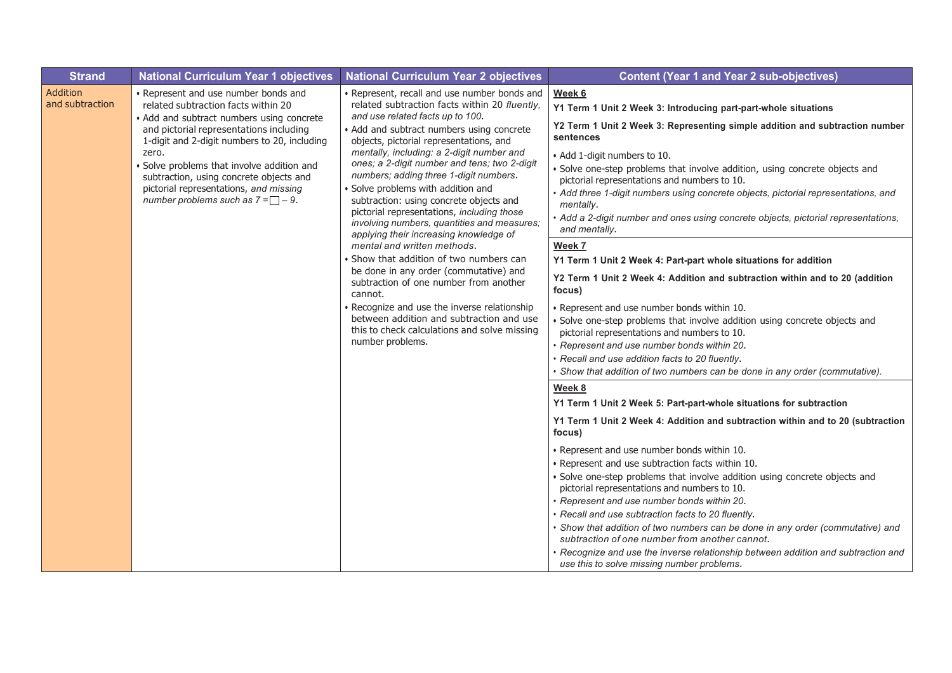| <b>Strand</b>                      | <b>National Curriculum Year 1 objectives</b>                                                                                                                                                                                                                                                                                                                                                        | <b>National Curriculum Year 2 objectives</b>                                                                                                                                                                                                                                                                                                                                                                                                                                                                                                                                                                                                                                                                                                                                                                                                                                                                                      | <b>Content (Year 1 and Year 2 sub-objectives)</b>                                                                                                                                                                                                                                                                                                                                                                                                                                                                                                                                                                                                                                                                                                                                                                                                                                                                                                                                                                                                                                                                                                                                                                                                                                                                                                                                                                                                                                                                                                                                                                                                                                                                                             |
|------------------------------------|-----------------------------------------------------------------------------------------------------------------------------------------------------------------------------------------------------------------------------------------------------------------------------------------------------------------------------------------------------------------------------------------------------|-----------------------------------------------------------------------------------------------------------------------------------------------------------------------------------------------------------------------------------------------------------------------------------------------------------------------------------------------------------------------------------------------------------------------------------------------------------------------------------------------------------------------------------------------------------------------------------------------------------------------------------------------------------------------------------------------------------------------------------------------------------------------------------------------------------------------------------------------------------------------------------------------------------------------------------|-----------------------------------------------------------------------------------------------------------------------------------------------------------------------------------------------------------------------------------------------------------------------------------------------------------------------------------------------------------------------------------------------------------------------------------------------------------------------------------------------------------------------------------------------------------------------------------------------------------------------------------------------------------------------------------------------------------------------------------------------------------------------------------------------------------------------------------------------------------------------------------------------------------------------------------------------------------------------------------------------------------------------------------------------------------------------------------------------------------------------------------------------------------------------------------------------------------------------------------------------------------------------------------------------------------------------------------------------------------------------------------------------------------------------------------------------------------------------------------------------------------------------------------------------------------------------------------------------------------------------------------------------------------------------------------------------------------------------------------------------|
| <b>Addition</b><br>and subtraction | • Represent and use number bonds and<br>related subtraction facts within 20<br>• Add and subtract numbers using concrete<br>and pictorial representations including<br>1-digit and 2-digit numbers to 20, including<br>zero.<br>Solve problems that involve addition and<br>subtraction, using concrete objects and<br>pictorial representations, and missing<br>number problems such as $7 = -9$ . | • Represent, recall and use number bonds and<br>related subtraction facts within 20 fluently,<br>and use related facts up to 100.<br>• Add and subtract numbers using concrete<br>objects, pictorial representations, and<br>mentally, including: a 2-digit number and<br>ones; a 2-digit number and tens; two 2-digit<br>numbers; adding three 1-digit numbers.<br>· Solve problems with addition and<br>subtraction: using concrete objects and<br>pictorial representations, including those<br>involving numbers, quantities and measures;<br>applying their increasing knowledge of<br>mental and written methods.<br>• Show that addition of two numbers can<br>be done in any order (commutative) and<br>subtraction of one number from another<br>cannot.<br>· Recognize and use the inverse relationship<br>between addition and subtraction and use<br>this to check calculations and solve missing<br>number problems. | Week 6<br>Y1 Term 1 Unit 2 Week 3: Introducing part-part-whole situations<br>Y2 Term 1 Unit 2 Week 3: Representing simple addition and subtraction number<br>sentences<br>• Add 1-digit numbers to 10.<br>· Solve one-step problems that involve addition, using concrete objects and<br>pictorial representations and numbers to 10.<br>• Add three 1-digit numbers using concrete objects, pictorial representations, and<br>mentally.<br>• Add a 2-digit number and ones using concrete objects, pictorial representations,<br>and mentally.<br>Week 7<br>Y1 Term 1 Unit 2 Week 4: Part-part whole situations for addition<br>Y2 Term 1 Unit 2 Week 4: Addition and subtraction within and to 20 (addition<br>focus)<br>• Represent and use number bonds within 10.<br>· Solve one-step problems that involve addition using concrete objects and<br>pictorial representations and numbers to 10.<br>· Represent and use number bonds within 20.<br>· Recall and use addition facts to 20 fluently.<br>• Show that addition of two numbers can be done in any order (commutative).<br>Week 8<br>Y1 Term 1 Unit 2 Week 5: Part-part-whole situations for subtraction<br>Y1 Term 1 Unit 2 Week 4: Addition and subtraction within and to 20 (subtraction<br>focus)<br>• Represent and use number bonds within 10.<br>• Represent and use subtraction facts within 10.<br>· Solve one-step problems that involve addition using concrete objects and<br>pictorial representations and numbers to 10.<br>• Represent and use number bonds within 20.<br>· Recall and use subtraction facts to 20 fluently.<br>· Show that addition of two numbers can be done in any order (commutative) and<br>subtraction of one number from another cannot. |
|                                    |                                                                                                                                                                                                                                                                                                                                                                                                     |                                                                                                                                                                                                                                                                                                                                                                                                                                                                                                                                                                                                                                                                                                                                                                                                                                                                                                                                   | · Recognize and use the inverse relationship between addition and subtraction and<br>use this to solve missing number problems.                                                                                                                                                                                                                                                                                                                                                                                                                                                                                                                                                                                                                                                                                                                                                                                                                                                                                                                                                                                                                                                                                                                                                                                                                                                                                                                                                                                                                                                                                                                                                                                                               |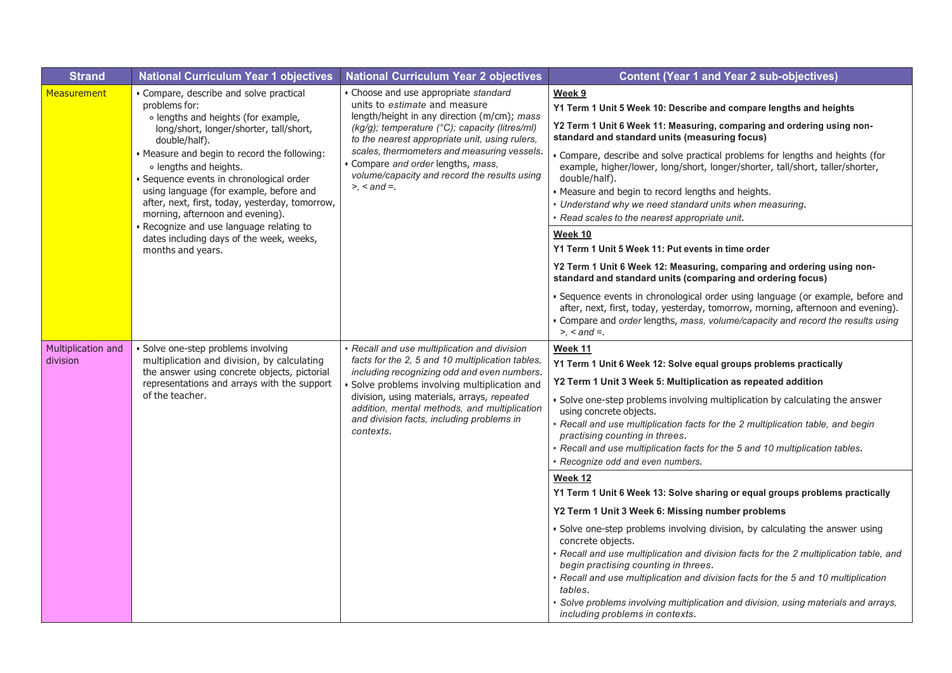| <b>Strand</b>                  | <b>National Curriculum Year 1 objectives</b>                                                                                                                                                                                                                                                                                                                                                                                                                                                                                   | <b>National Curriculum Year 2 objectives</b>                                                                                                                                                                                                                                                                                                                                    | <b>Content (Year 1 and Year 2 sub-objectives)</b>                                                                                                                                                                                                                                                                                                                                                                                                                                                                                                                                                                               |
|--------------------------------|--------------------------------------------------------------------------------------------------------------------------------------------------------------------------------------------------------------------------------------------------------------------------------------------------------------------------------------------------------------------------------------------------------------------------------------------------------------------------------------------------------------------------------|---------------------------------------------------------------------------------------------------------------------------------------------------------------------------------------------------------------------------------------------------------------------------------------------------------------------------------------------------------------------------------|---------------------------------------------------------------------------------------------------------------------------------------------------------------------------------------------------------------------------------------------------------------------------------------------------------------------------------------------------------------------------------------------------------------------------------------------------------------------------------------------------------------------------------------------------------------------------------------------------------------------------------|
| <b>Measurement</b>             | • Compare, describe and solve practical<br>problems for:<br>o lengths and heights (for example,<br>long/short, longer/shorter, tall/short,<br>double/half).<br>• Measure and begin to record the following:<br>o lengths and heights.<br>· Sequence events in chronological order<br>using language (for example, before and<br>after, next, first, today, yesterday, tomorrow,<br>morning, afternoon and evening).<br>Recognize and use language relating to<br>dates including days of the week, weeks,<br>months and years. | • Choose and use appropriate standard<br>units to estimate and measure<br>length/height in any direction (m/cm); mass<br>(kg/g); temperature (°C); capacity (litres/ml)<br>to the nearest appropriate unit, using rulers,<br>scales, thermometers and measuring vessels.<br>Compare and order lengths, mass,<br>volume/capacity and record the results using<br>$> <$ and $=$ . | Week 9<br>Y1 Term 1 Unit 5 Week 10: Describe and compare lengths and heights<br>Y2 Term 1 Unit 6 Week 11: Measuring, comparing and ordering using non-<br>standard and standard units (measuring focus)<br>· Compare, describe and solve practical problems for lengths and heights (for<br>example, higher/lower, long/short, longer/shorter, tall/short, taller/shorter,<br>double/half).<br>• Measure and begin to record lengths and heights.<br>• Understand why we need standard units when measuring.<br>· Read scales to the nearest appropriate unit.<br>Week 10<br>Y1 Term 1 Unit 5 Week 11: Put events in time order |
|                                |                                                                                                                                                                                                                                                                                                                                                                                                                                                                                                                                |                                                                                                                                                                                                                                                                                                                                                                                 | Y2 Term 1 Unit 6 Week 12: Measuring, comparing and ordering using non-<br>standard and standard units (comparing and ordering focus)<br>· Sequence events in chronological order using language (or example, before and<br>after, next, first, today, yesterday, tomorrow, morning, afternoon and evening).<br>• Compare and order lengths, mass, volume/capacity and record the results using<br>$\geq$ , $\lt$ and $\equiv$ .                                                                                                                                                                                                 |
| Multiplication and<br>division | Solve one-step problems involving<br>multiplication and division, by calculating<br>the answer using concrete objects, pictorial<br>representations and arrays with the support<br>of the teacher.                                                                                                                                                                                                                                                                                                                             | Recall and use multiplication and division<br>facts for the 2, 5 and 10 multiplication tables,<br>including recognizing odd and even numbers.<br>Solve problems involving multiplication and<br>division, using materials, arrays, repeated<br>addition, mental methods, and multiplication<br>and division facts, including problems in<br>contexts.                           | Week 11<br>Y1 Term 1 Unit 6 Week 12: Solve equal groups problems practically<br>Y2 Term 1 Unit 3 Week 5: Multiplication as repeated addition<br>· Solve one-step problems involving multiplication by calculating the answer<br>using concrete objects.<br>· Recall and use multiplication facts for the 2 multiplication table, and begin<br>practising counting in threes.<br>• Recall and use multiplication facts for the 5 and 10 multiplication tables.<br>Recognize odd and even numbers.                                                                                                                                |
|                                |                                                                                                                                                                                                                                                                                                                                                                                                                                                                                                                                |                                                                                                                                                                                                                                                                                                                                                                                 | Week 12<br>Y1 Term 1 Unit 6 Week 13: Solve sharing or equal groups problems practically<br>Y2 Term 1 Unit 3 Week 6: Missing number problems<br>· Solve one-step problems involving division, by calculating the answer using<br>concrete objects.<br>· Recall and use multiplication and division facts for the 2 multiplication table, and<br>begin practising counting in threes.<br>Recall and use multiplication and division facts for the 5 and 10 multiplication<br>tables.<br>Solve problems involving multiplication and division, using materials and arrays,<br>including problems in contexts.                      |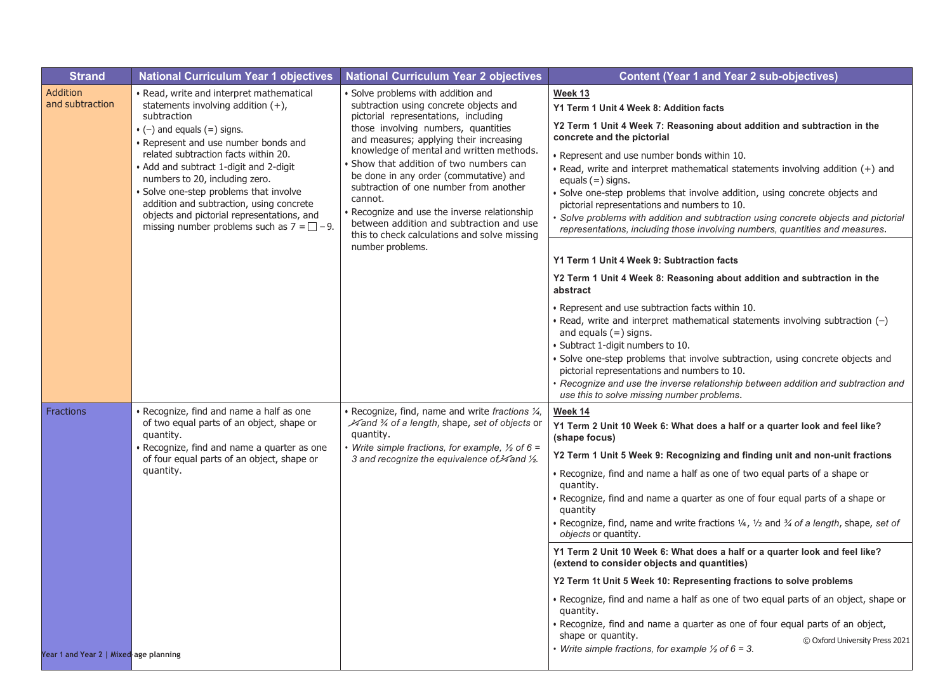| <b>Strand</b>                          | <b>National Curriculum Year 1 objectives</b>                                                                                                                                                                                                                                                                                                                                                                                                                                                 | <b>National Curriculum Year 2 objectives</b>                                                                                                                                                                                                                                                                                                                                                                                                                                                                                           | <b>Content (Year 1 and Year 2 sub-objectives)</b>                                                                                                                                                                                                                                                                                                                                                                                                                                                                                                                                                                        |
|----------------------------------------|----------------------------------------------------------------------------------------------------------------------------------------------------------------------------------------------------------------------------------------------------------------------------------------------------------------------------------------------------------------------------------------------------------------------------------------------------------------------------------------------|----------------------------------------------------------------------------------------------------------------------------------------------------------------------------------------------------------------------------------------------------------------------------------------------------------------------------------------------------------------------------------------------------------------------------------------------------------------------------------------------------------------------------------------|--------------------------------------------------------------------------------------------------------------------------------------------------------------------------------------------------------------------------------------------------------------------------------------------------------------------------------------------------------------------------------------------------------------------------------------------------------------------------------------------------------------------------------------------------------------------------------------------------------------------------|
| Addition<br>and subtraction            | · Read, write and interpret mathematical<br>statements involving addition $(+)$ ,<br>subtraction<br>$\bullet$ (-) and equals (=) signs.<br>• Represent and use number bonds and<br>related subtraction facts within 20.<br>• Add and subtract 1-digit and 2-digit<br>numbers to 20, including zero.<br>Solve one-step problems that involve<br>addition and subtraction, using concrete<br>objects and pictorial representations, and<br>missing number problems such as $7 = \square - 9$ . | · Solve problems with addition and<br>subtraction using concrete objects and<br>pictorial representations, including<br>those involving numbers, quantities<br>and measures; applying their increasing<br>knowledge of mental and written methods.<br>Show that addition of two numbers can<br>be done in any order (commutative) and<br>subtraction of one number from another<br>cannot.<br>· Recognize and use the inverse relationship<br>between addition and subtraction and use<br>this to check calculations and solve missing | Week 13<br>Y1 Term 1 Unit 4 Week 8: Addition facts<br>Y2 Term 1 Unit 4 Week 7: Reasoning about addition and subtraction in the<br>concrete and the pictorial<br>• Represent and use number bonds within 10.<br>. Read, write and interpret mathematical statements involving addition (+) and<br>equals $(=)$ signs.<br>· Solve one-step problems that involve addition, using concrete objects and<br>pictorial representations and numbers to 10.<br>Solve problems with addition and subtraction using concrete objects and pictorial<br>representations, including those involving numbers, quantities and measures. |
|                                        |                                                                                                                                                                                                                                                                                                                                                                                                                                                                                              | number problems.                                                                                                                                                                                                                                                                                                                                                                                                                                                                                                                       | Y1 Term 1 Unit 4 Week 9: Subtraction facts<br>Y2 Term 1 Unit 4 Week 8: Reasoning about addition and subtraction in the<br>abstract                                                                                                                                                                                                                                                                                                                                                                                                                                                                                       |
|                                        |                                                                                                                                                                                                                                                                                                                                                                                                                                                                                              |                                                                                                                                                                                                                                                                                                                                                                                                                                                                                                                                        | • Represent and use subtraction facts within 10.<br>• Read, write and interpret mathematical statements involving subtraction $(-)$<br>and equals $(=)$ signs.<br>· Subtract 1-digit numbers to 10.<br>· Solve one-step problems that involve subtraction, using concrete objects and<br>pictorial representations and numbers to 10.<br>· Recognize and use the inverse relationship between addition and subtraction and<br>use this to solve missing number problems.                                                                                                                                                 |
| Fractions                              | Recognize, find and name a half as one<br>of two equal parts of an object, shape or<br>quantity.<br>Recognize, find and name a quarter as one<br>of four equal parts of an object, shape or<br>quantity.                                                                                                                                                                                                                                                                                     | · Recognize, find, name and write fractions 1/4,<br>34 and 34 of a length, shape, set of objects or<br>quantity.<br>Write simple fractions, for example, $\frac{1}{2}$ of 6 =<br>3 and recognize the equivalence of ¥ and 1/2.                                                                                                                                                                                                                                                                                                         | Week 14<br>Y1 Term 2 Unit 10 Week 6: What does a half or a quarter look and feel like?<br>(shape focus)<br>Y2 Term 1 Unit 5 Week 9: Recognizing and finding unit and non-unit fractions<br>• Recognize, find and name a half as one of two equal parts of a shape or<br>quantity.<br>• Recognize, find and name a quarter as one of four equal parts of a shape or<br>quantity<br>. Recognize, find, name and write fractions 1/4, 1/2 and 3/4 of a length, shape, set of<br>objects or quantity.                                                                                                                        |
| Year 1 and Year 2   Mixed age planning |                                                                                                                                                                                                                                                                                                                                                                                                                                                                                              |                                                                                                                                                                                                                                                                                                                                                                                                                                                                                                                                        | Y1 Term 2 Unit 10 Week 6: What does a half or a quarter look and feel like?<br>(extend to consider objects and quantities)<br>Y2 Term 1t Unit 5 Week 10: Representing fractions to solve problems<br>• Recognize, find and name a half as one of two equal parts of an object, shape or<br>quantity.<br>• Recognize, find and name a quarter as one of four equal parts of an object,<br>shape or quantity.<br>© Oxford University Press 2021<br>• Write simple fractions, for example $\frac{1}{2}$ of 6 = 3.                                                                                                           |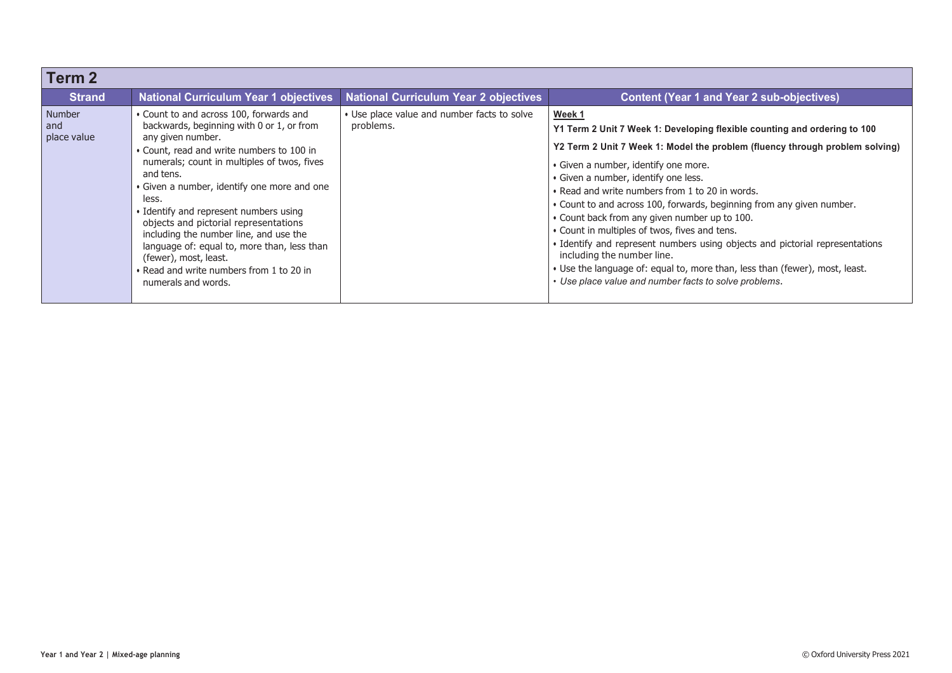| Term <sub>2</sub>            |                                                                                                                                                                                                                                                                                                                                                                                                                                                                                                                                                    |                                                          |                                                                                                                                                                                                                                                                                                                                                                                                                                                                                                                                                                                                                                                                                                                                         |
|------------------------------|----------------------------------------------------------------------------------------------------------------------------------------------------------------------------------------------------------------------------------------------------------------------------------------------------------------------------------------------------------------------------------------------------------------------------------------------------------------------------------------------------------------------------------------------------|----------------------------------------------------------|-----------------------------------------------------------------------------------------------------------------------------------------------------------------------------------------------------------------------------------------------------------------------------------------------------------------------------------------------------------------------------------------------------------------------------------------------------------------------------------------------------------------------------------------------------------------------------------------------------------------------------------------------------------------------------------------------------------------------------------------|
| <b>Strand</b>                | <b>National Curriculum Year 1 objectives</b>                                                                                                                                                                                                                                                                                                                                                                                                                                                                                                       | <b>National Curriculum Year 2 objectives</b>             | <b>Content (Year 1 and Year 2 sub-objectives)</b>                                                                                                                                                                                                                                                                                                                                                                                                                                                                                                                                                                                                                                                                                       |
| Number<br>and<br>place value | • Count to and across 100, forwards and<br>backwards, beginning with 0 or 1, or from<br>any given number.<br>• Count, read and write numbers to 100 in<br>numerals; count in multiples of twos, fives<br>and tens.<br>• Given a number, identify one more and one<br>less.<br>• Identify and represent numbers using<br>objects and pictorial representations<br>including the number line, and use the<br>language of: equal to, more than, less than<br>(fewer), most, least.<br>• Read and write numbers from 1 to 20 in<br>numerals and words. | • Use place value and number facts to solve<br>problems. | Week 1<br>Y1 Term 2 Unit 7 Week 1: Developing flexible counting and ordering to 100<br>Y2 Term 2 Unit 7 Week 1: Model the problem (fluency through problem solving)<br>· Given a number, identify one more.<br>· Given a number, identify one less.<br>• Read and write numbers from 1 to 20 in words.<br>. Count to and across 100, forwards, beginning from any given number.<br>• Count back from any given number up to 100.<br>• Count in multiples of twos, fives and tens.<br>• Identify and represent numbers using objects and pictorial representations<br>including the number line.<br>• Use the language of: equal to, more than, less than (fewer), most, least.<br>• Use place value and number facts to solve problems. |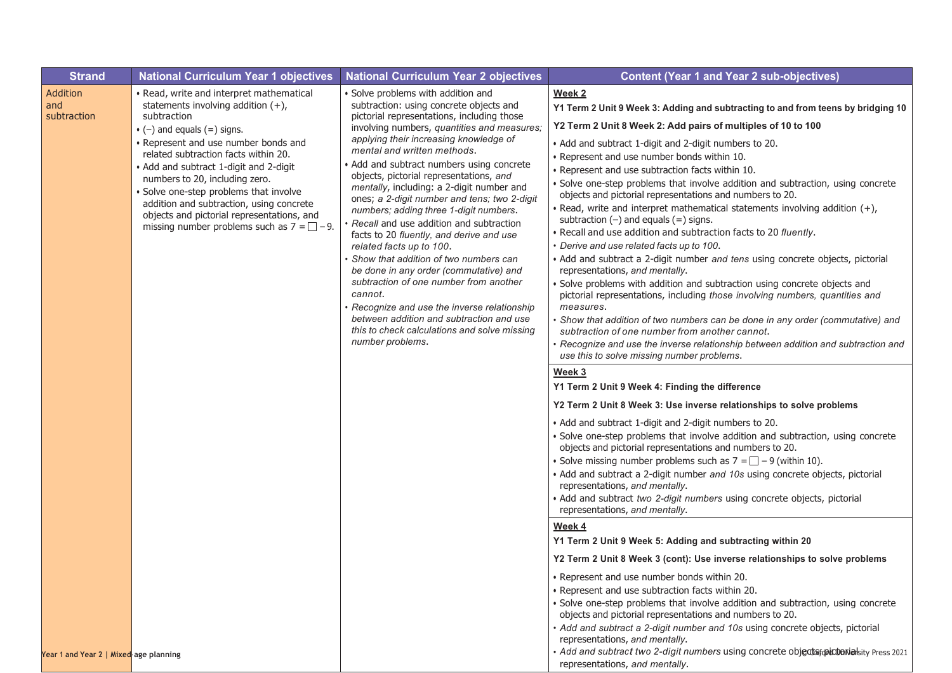| <b>Strand</b>                          | <b>National Curriculum Year 1 objectives</b>                                                                                                                                                                                                                                                                                                                                                                                                                                                   | <b>National Curriculum Year 2 objectives</b>                                                                                                                                                                                                                                                                                                                                                                                                                                                                                                                                                                                                                                                                                                                                                                                                                                                              | <b>Content (Year 1 and Year 2 sub-objectives)</b>                                                                                                                                                                                                                                                                                                                                                                                                                                                                                                                                                                                                                                                                                                                                                                                                                                                                                                                                                                                                                                                                                                                                                                                                                                                                                                                                                                                                                                                                                                                                                                                                                                                                                                                                                                                                                                                                      |
|----------------------------------------|------------------------------------------------------------------------------------------------------------------------------------------------------------------------------------------------------------------------------------------------------------------------------------------------------------------------------------------------------------------------------------------------------------------------------------------------------------------------------------------------|-----------------------------------------------------------------------------------------------------------------------------------------------------------------------------------------------------------------------------------------------------------------------------------------------------------------------------------------------------------------------------------------------------------------------------------------------------------------------------------------------------------------------------------------------------------------------------------------------------------------------------------------------------------------------------------------------------------------------------------------------------------------------------------------------------------------------------------------------------------------------------------------------------------|------------------------------------------------------------------------------------------------------------------------------------------------------------------------------------------------------------------------------------------------------------------------------------------------------------------------------------------------------------------------------------------------------------------------------------------------------------------------------------------------------------------------------------------------------------------------------------------------------------------------------------------------------------------------------------------------------------------------------------------------------------------------------------------------------------------------------------------------------------------------------------------------------------------------------------------------------------------------------------------------------------------------------------------------------------------------------------------------------------------------------------------------------------------------------------------------------------------------------------------------------------------------------------------------------------------------------------------------------------------------------------------------------------------------------------------------------------------------------------------------------------------------------------------------------------------------------------------------------------------------------------------------------------------------------------------------------------------------------------------------------------------------------------------------------------------------------------------------------------------------------------------------------------------------|
| Addition<br>and<br>subtraction         | • Read, write and interpret mathematical<br>statements involving addition $(+)$ ,<br>subtraction<br>$\bullet$ (-) and equals (=) signs.<br>• Represent and use number bonds and<br>related subtraction facts within 20.<br>• Add and subtract 1-digit and 2-digit<br>numbers to 20, including zero.<br>· Solve one-step problems that involve<br>addition and subtraction, using concrete<br>objects and pictorial representations, and<br>missing number problems such as $7 = \square - 9$ . | • Solve problems with addition and<br>subtraction: using concrete objects and<br>pictorial representations, including those<br>involving numbers, quantities and measures;<br>applying their increasing knowledge of<br>mental and written methods.<br>Add and subtract numbers using concrete<br>objects, pictorial representations, and<br>mentally, including: a 2-digit number and<br>ones; a 2-digit number and tens; two 2-digit<br>numbers; adding three 1-digit numbers.<br>Recall and use addition and subtraction<br>facts to 20 fluently, and derive and use<br>related facts up to 100.<br>Show that addition of two numbers can<br>be done in any order (commutative) and<br>subtraction of one number from another<br>cannot.<br>Recognize and use the inverse relationship<br>between addition and subtraction and use<br>this to check calculations and solve missing<br>number problems. | Week <sub>2</sub><br>Y1 Term 2 Unit 9 Week 3: Adding and subtracting to and from teens by bridging 10<br>Y2 Term 2 Unit 8 Week 2: Add pairs of multiples of 10 to 100<br>• Add and subtract 1-digit and 2-digit numbers to 20.<br>• Represent and use number bonds within 10.<br>· Represent and use subtraction facts within 10.<br>· Solve one-step problems that involve addition and subtraction, using concrete<br>objects and pictorial representations and numbers to 20.<br>• Read, write and interpret mathematical statements involving addition $(+)$ ,<br>subtraction $(-)$ and equals $(=)$ signs.<br>. Recall and use addition and subtraction facts to 20 fluently.<br>• Derive and use related facts up to 100.<br>• Add and subtract a 2-digit number and tens using concrete objects, pictorial<br>representations, and mentally.<br>Solve problems with addition and subtraction using concrete objects and<br>pictorial representations, including those involving numbers, quantities and<br>measures.<br>Show that addition of two numbers can be done in any order (commutative) and<br>subtraction of one number from another cannot.<br>· Recognize and use the inverse relationship between addition and subtraction and<br>use this to solve missing number problems.<br>Week 3<br>Y1 Term 2 Unit 9 Week 4: Finding the difference<br>Y2 Term 2 Unit 8 Week 3: Use inverse relationships to solve problems<br>• Add and subtract 1-digit and 2-digit numbers to 20.<br>· Solve one-step problems that involve addition and subtraction, using concrete<br>objects and pictorial representations and numbers to 20.<br>• Solve missing number problems such as $7 = \square - 9$ (within 10).<br>• Add and subtract a 2-digit number and 10s using concrete objects, pictorial<br>representations, and mentally.<br>· Add and subtract two 2-digit numbers using concrete objects, pictorial |
| Year 1 and Year 2   Mixed age planning |                                                                                                                                                                                                                                                                                                                                                                                                                                                                                                |                                                                                                                                                                                                                                                                                                                                                                                                                                                                                                                                                                                                                                                                                                                                                                                                                                                                                                           | representations, and mentally.<br>Week 4<br>Y1 Term 2 Unit 9 Week 5: Adding and subtracting within 20<br>Y2 Term 2 Unit 8 Week 3 (cont): Use inverse relationships to solve problems<br>• Represent and use number bonds within 20.<br>• Represent and use subtraction facts within 20.<br>· Solve one-step problems that involve addition and subtraction, using concrete<br>objects and pictorial representations and numbers to 20.<br>• Add and subtract a 2-digit number and 10s using concrete objects, pictorial<br>representations, and mentally.<br>· Add and subtract two 2-digit numbers using concrete objects picterialsity Press 2021<br>representations, and mentally.                                                                                                                                                                                                                                                                                                                                                                                                                                                                                                                                                                                                                                                                                                                                                                                                                                                                                                                                                                                                                                                                                                                                                                                                                                  |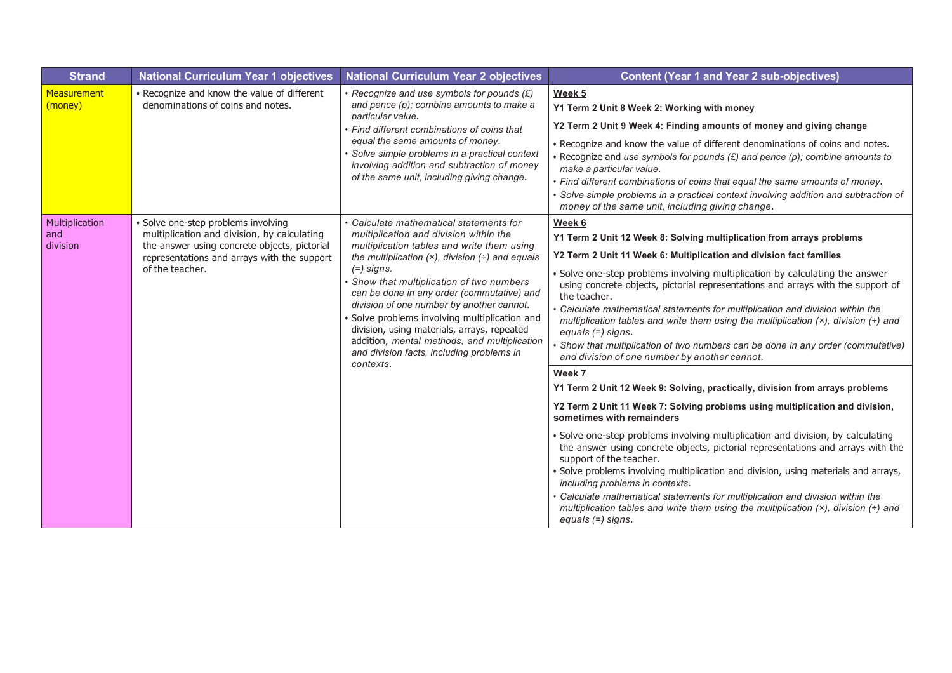| <b>Strand</b>                     | <b>National Curriculum Year 1 objectives</b>                                                                                                                                                       | <b>National Curriculum Year 2 objectives</b>                                                                                                                                                                                                                                                                                                                                                                                                                                                                                                          | <b>Content (Year 1 and Year 2 sub-objectives)</b>                                                                                                                                                                                                                                                                                                                                                                                                                                                                                                                                                                                                                                                                                                                                                                                                                                                                                                                                                                                                                                                                                                                                                                                                                                                                                                                                                                        |
|-----------------------------------|----------------------------------------------------------------------------------------------------------------------------------------------------------------------------------------------------|-------------------------------------------------------------------------------------------------------------------------------------------------------------------------------------------------------------------------------------------------------------------------------------------------------------------------------------------------------------------------------------------------------------------------------------------------------------------------------------------------------------------------------------------------------|--------------------------------------------------------------------------------------------------------------------------------------------------------------------------------------------------------------------------------------------------------------------------------------------------------------------------------------------------------------------------------------------------------------------------------------------------------------------------------------------------------------------------------------------------------------------------------------------------------------------------------------------------------------------------------------------------------------------------------------------------------------------------------------------------------------------------------------------------------------------------------------------------------------------------------------------------------------------------------------------------------------------------------------------------------------------------------------------------------------------------------------------------------------------------------------------------------------------------------------------------------------------------------------------------------------------------------------------------------------------------------------------------------------------------|
| <b>Measurement</b><br>(money)     | • Recognize and know the value of different<br>denominations of coins and notes.                                                                                                                   | • Recognize and use symbols for pounds $(E)$<br>and pence (p); combine amounts to make a<br>particular value.<br>• Find different combinations of coins that<br>equal the same amounts of money.<br>Solve simple problems in a practical context<br>involving addition and subtraction of money<br>of the same unit, including giving change.                                                                                                                                                                                                         | Week <sub>5</sub><br>Y1 Term 2 Unit 8 Week 2: Working with money<br>Y2 Term 2 Unit 9 Week 4: Finding amounts of money and giving change<br>. Recognize and know the value of different denominations of coins and notes.<br>$\bullet$ Recognize and use symbols for pounds (£) and pence (p); combine amounts to<br>make a particular value.<br>• Find different combinations of coins that equal the same amounts of money.<br>• Solve simple problems in a practical context involving addition and subtraction of<br>money of the same unit, including giving change.                                                                                                                                                                                                                                                                                                                                                                                                                                                                                                                                                                                                                                                                                                                                                                                                                                                 |
| Multiplication<br>and<br>division | Solve one-step problems involving<br>multiplication and division, by calculating<br>the answer using concrete objects, pictorial<br>representations and arrays with the support<br>of the teacher. | • Calculate mathematical statements for<br>multiplication and division within the<br>multiplication tables and write them using<br>the multiplication $(x)$ , division $(+)$ and equals<br>$(=)$ signs.<br>Show that multiplication of two numbers<br>can be done in any order (commutative) and<br>division of one number by another cannot.<br>Solve problems involving multiplication and<br>division, using materials, arrays, repeated<br>addition, mental methods, and multiplication<br>and division facts, including problems in<br>contexts. | Week 6<br>Y1 Term 2 Unit 12 Week 8: Solving multiplication from arrays problems<br>Y2 Term 2 Unit 11 Week 6: Multiplication and division fact families<br>· Solve one-step problems involving multiplication by calculating the answer<br>using concrete objects, pictorial representations and arrays with the support of<br>the teacher.<br>• Calculate mathematical statements for multiplication and division within the<br>multiplication tables and write them using the multiplication $(x)$ , division $(+)$ and<br>equals $(=)$ signs.<br>Show that multiplication of two numbers can be done in any order (commutative)<br>and division of one number by another cannot.<br>Week 7<br>Y1 Term 2 Unit 12 Week 9: Solving, practically, division from arrays problems<br>Y2 Term 2 Unit 11 Week 7: Solving problems using multiplication and division,<br>sometimes with remainders<br>· Solve one-step problems involving multiplication and division, by calculating<br>the answer using concrete objects, pictorial representations and arrays with the<br>support of the teacher.<br>· Solve problems involving multiplication and division, using materials and arrays,<br>including problems in contexts.<br>Calculate mathematical statements for multiplication and division within the<br>multiplication tables and write them using the multiplication $(x)$ , division $(+)$ and<br>equals (=) signs. |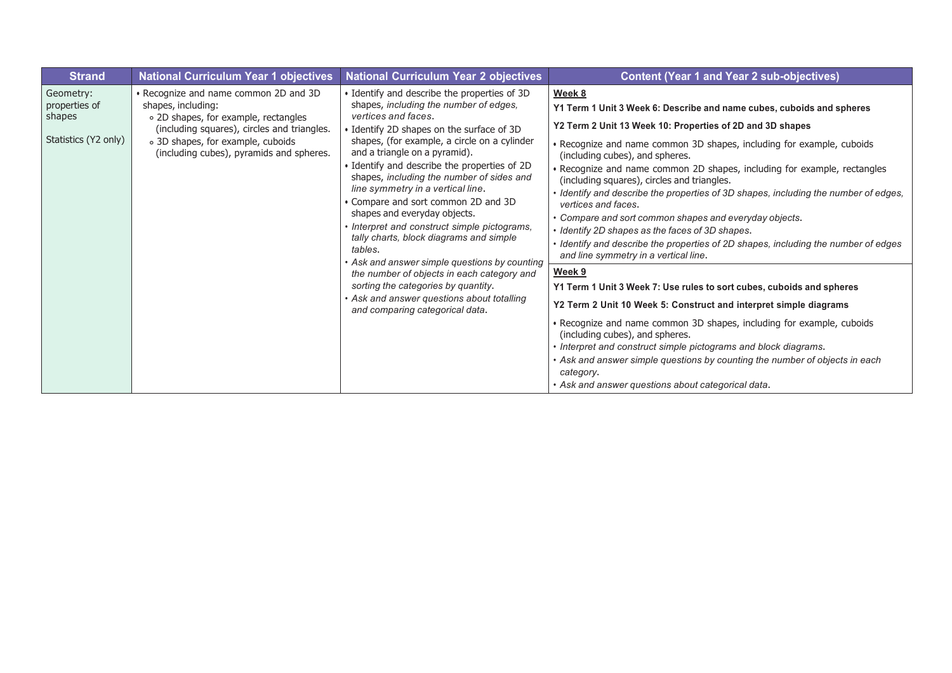| <b>Strand</b>                                                | <b>National Curriculum Year 1 objectives</b>                                                                                                                                                                                        | <b>National Curriculum Year 2 objectives</b>                                                                                                                                                                                                                                                                                                                                                                                                                                                                                                                                                                                                                                                                                                                              | <b>Content (Year 1 and Year 2 sub-objectives)</b>                                                                                                                                                                                                                                                                                                                                                                                                                                                                                                                                                                                                                                                                                             |
|--------------------------------------------------------------|-------------------------------------------------------------------------------------------------------------------------------------------------------------------------------------------------------------------------------------|---------------------------------------------------------------------------------------------------------------------------------------------------------------------------------------------------------------------------------------------------------------------------------------------------------------------------------------------------------------------------------------------------------------------------------------------------------------------------------------------------------------------------------------------------------------------------------------------------------------------------------------------------------------------------------------------------------------------------------------------------------------------------|-----------------------------------------------------------------------------------------------------------------------------------------------------------------------------------------------------------------------------------------------------------------------------------------------------------------------------------------------------------------------------------------------------------------------------------------------------------------------------------------------------------------------------------------------------------------------------------------------------------------------------------------------------------------------------------------------------------------------------------------------|
| Geometry:<br>properties of<br>shapes<br>Statistics (Y2 only) | • Recognize and name common 2D and 3D<br>shapes, including:<br>o 2D shapes, for example, rectangles<br>(including squares), circles and triangles.<br>o 3D shapes, for example, cuboids<br>(including cubes), pyramids and spheres. | • Identify and describe the properties of 3D<br>shapes, including the number of edges,<br>vertices and faces.<br>· Identify 2D shapes on the surface of 3D<br>shapes, (for example, a circle on a cylinder<br>and a triangle on a pyramid).<br>· Identify and describe the properties of 2D<br>shapes, including the number of sides and<br>line symmetry in a vertical line.<br>Compare and sort common 2D and 3D<br>shapes and everyday objects.<br>Interpret and construct simple pictograms,<br>tally charts, block diagrams and simple<br>tables.<br>Ask and answer simple questions by counting<br>the number of objects in each category and<br>sorting the categories by quantity.<br>Ask and answer questions about totalling<br>and comparing categorical data. | Week 8<br>Y1 Term 1 Unit 3 Week 6: Describe and name cubes, cuboids and spheres<br>Y2 Term 2 Unit 13 Week 10: Properties of 2D and 3D shapes<br>• Recognize and name common 3D shapes, including for example, cuboids<br>(including cubes), and spheres.<br>· Recognize and name common 2D shapes, including for example, rectangles<br>(including squares), circles and triangles.<br>· Identify and describe the properties of 3D shapes, including the number of edges,<br>vertices and faces.<br>• Compare and sort common shapes and everyday objects.<br>• Identify 2D shapes as the faces of 3D shapes.<br>• Identify and describe the properties of 2D shapes, including the number of edges<br>and line symmetry in a vertical line. |
|                                                              |                                                                                                                                                                                                                                     |                                                                                                                                                                                                                                                                                                                                                                                                                                                                                                                                                                                                                                                                                                                                                                           | Week 9<br>Y1 Term 1 Unit 3 Week 7: Use rules to sort cubes, cuboids and spheres<br>Y2 Term 2 Unit 10 Week 5: Construct and interpret simple diagrams<br>• Recognize and name common 3D shapes, including for example, cuboids<br>(including cubes), and spheres.<br>• Interpret and construct simple pictograms and block diagrams.<br>• Ask and answer simple questions by counting the number of objects in each<br>category.<br>• Ask and answer questions about categorical data.                                                                                                                                                                                                                                                         |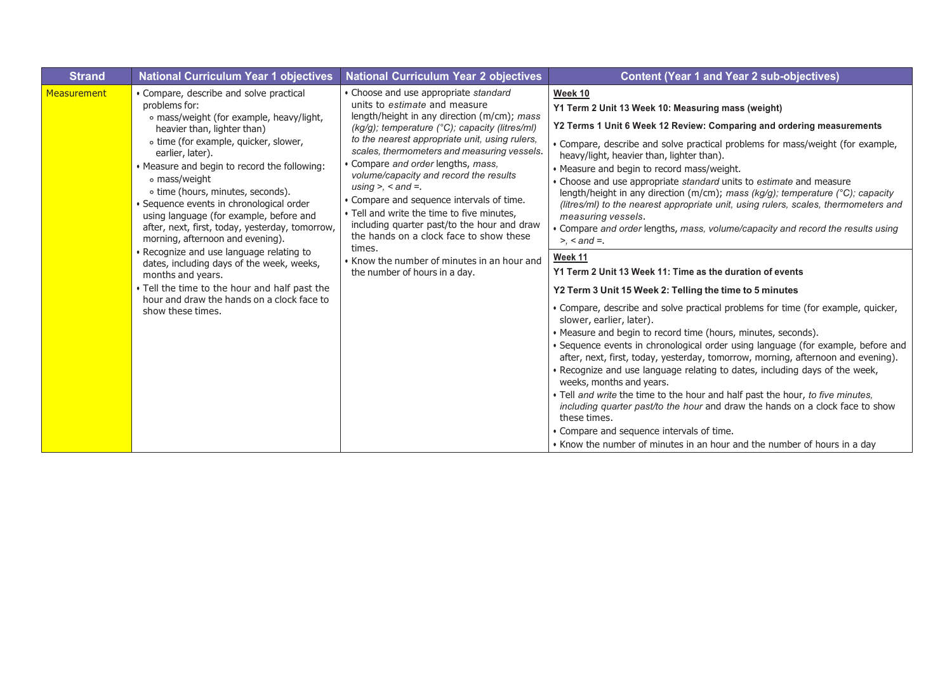| <b>Strand</b> | <b>National Curriculum Year 1 objectives</b>                                                                                                                                                                                                                                                                                                                                                                                                                                                                                                                                                                                                                                                                           | <b>National Curriculum Year 2 objectives</b>                                                                                                                                                                                                                                                                                                                                                                                                                                                                                                                                                                                                                     | <b>Content (Year 1 and Year 2 sub-objectives)</b>                                                                                                                                                                                                                                                                                                                                                                                                                                                                                                                                                                                                                                                                                                                                                                                                                                                                                                                                                                                                                                                                                                                                                                                                                                                                                                                                                                                                                                                                                                                                                                  |
|---------------|------------------------------------------------------------------------------------------------------------------------------------------------------------------------------------------------------------------------------------------------------------------------------------------------------------------------------------------------------------------------------------------------------------------------------------------------------------------------------------------------------------------------------------------------------------------------------------------------------------------------------------------------------------------------------------------------------------------------|------------------------------------------------------------------------------------------------------------------------------------------------------------------------------------------------------------------------------------------------------------------------------------------------------------------------------------------------------------------------------------------------------------------------------------------------------------------------------------------------------------------------------------------------------------------------------------------------------------------------------------------------------------------|--------------------------------------------------------------------------------------------------------------------------------------------------------------------------------------------------------------------------------------------------------------------------------------------------------------------------------------------------------------------------------------------------------------------------------------------------------------------------------------------------------------------------------------------------------------------------------------------------------------------------------------------------------------------------------------------------------------------------------------------------------------------------------------------------------------------------------------------------------------------------------------------------------------------------------------------------------------------------------------------------------------------------------------------------------------------------------------------------------------------------------------------------------------------------------------------------------------------------------------------------------------------------------------------------------------------------------------------------------------------------------------------------------------------------------------------------------------------------------------------------------------------------------------------------------------------------------------------------------------------|
| Measurement   | • Compare, describe and solve practical<br>problems for:<br>o mass/weight (for example, heavy/light,<br>heavier than, lighter than)<br>o time (for example, quicker, slower,<br>earlier, later).<br>• Measure and begin to record the following:<br>∘ mass/weight<br>o time (hours, minutes, seconds).<br>· Sequence events in chronological order<br>using language (for example, before and<br>after, next, first, today, yesterday, tomorrow,<br>morning, afternoon and evening).<br>· Recognize and use language relating to<br>dates, including days of the week, weeks,<br>months and years.<br>. Tell the time to the hour and half past the<br>hour and draw the hands on a clock face to<br>show these times. | • Choose and use appropriate standard<br>units to estimate and measure<br>length/height in any direction (m/cm); mass<br>(kg/g); temperature (°C); capacity (litres/ml)<br>to the nearest appropriate unit, using rulers,<br>scales, thermometers and measuring vessels.<br>• Compare and order lengths, mass.<br>volume/capacity and record the results<br>using $> <$ and $=$ .<br>• Compare and sequence intervals of time.<br>• Tell and write the time to five minutes,<br>including quarter past/to the hour and draw<br>the hands on a clock face to show these<br>times.<br>• Know the number of minutes in an hour and<br>the number of hours in a day. | Week 10<br>Y1 Term 2 Unit 13 Week 10: Measuring mass (weight)<br>Y2 Terms 1 Unit 6 Week 12 Review: Comparing and ordering measurements<br>. Compare, describe and solve practical problems for mass/weight (for example,<br>heavy/light, heavier than, lighter than).<br>• Measure and begin to record mass/weight.<br>• Choose and use appropriate standard units to estimate and measure<br>length/height in any direction (m/cm); mass (kg/g); temperature (°C); capacity<br>(litres/ml) to the nearest appropriate unit, using rulers, scales, thermometers and<br>measuring vessels.<br>• Compare and order lengths, mass, volume/capacity and record the results using<br>$> <$ and $=$ .<br>Week 11<br>Y1 Term 2 Unit 13 Week 11: Time as the duration of events<br>Y2 Term 3 Unit 15 Week 2: Telling the time to 5 minutes<br>• Compare, describe and solve practical problems for time (for example, quicker,<br>slower, earlier, later).<br>• Measure and begin to record time (hours, minutes, seconds).<br>• Sequence events in chronological order using language (for example, before and<br>after, next, first, today, yesterday, tomorrow, morning, afternoon and evening).<br>. Recognize and use language relating to dates, including days of the week,<br>weeks, months and years.<br>• Tell and write the time to the hour and half past the hour, to five minutes,<br>including quarter past/to the hour and draw the hands on a clock face to show<br>these times.<br>• Compare and sequence intervals of time.<br>• Know the number of minutes in an hour and the number of hours in a day |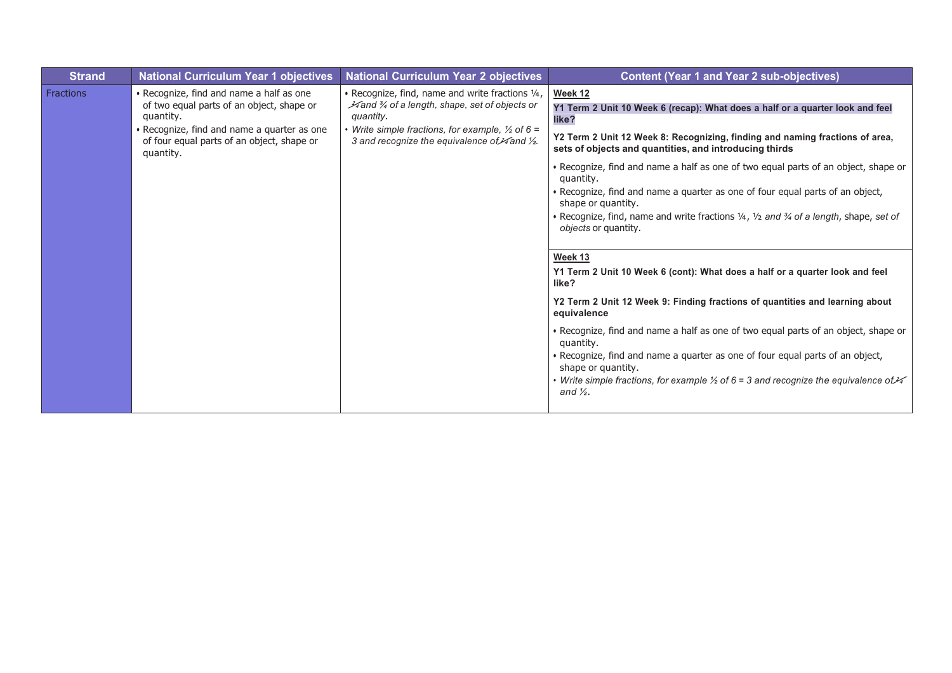| <b>Strand</b>    | <b>National Curriculum Year 1 objectives</b>                                                                                                                                                                 | <b>National Curriculum Year 2 objectives</b>                                                                                                                                                                                                           | <b>Content (Year 1 and Year 2 sub-objectives)</b>                                                                                                                                                                                                                                                                                                                                                                                                                                                                                                                                                                                                                                                                                                                                                                                                                                                                                                                                                                                                                                                                                  |
|------------------|--------------------------------------------------------------------------------------------------------------------------------------------------------------------------------------------------------------|--------------------------------------------------------------------------------------------------------------------------------------------------------------------------------------------------------------------------------------------------------|------------------------------------------------------------------------------------------------------------------------------------------------------------------------------------------------------------------------------------------------------------------------------------------------------------------------------------------------------------------------------------------------------------------------------------------------------------------------------------------------------------------------------------------------------------------------------------------------------------------------------------------------------------------------------------------------------------------------------------------------------------------------------------------------------------------------------------------------------------------------------------------------------------------------------------------------------------------------------------------------------------------------------------------------------------------------------------------------------------------------------------|
| <b>Fractions</b> | • Recognize, find and name a half as one<br>of two equal parts of an object, shape or<br>quantity.<br>• Recognize, find and name a quarter as one<br>of four equal parts of an object, shape or<br>quantity. | . Recognize, find, name and write fractions 1/4,<br>4 and 34 of a length, shape, set of objects or<br>quantity.<br>• Write simple fractions, for example, $\frac{1}{2}$ of 6 =<br>3 and recognize the equivalence of $\frac{3}{4}$ and $\frac{1}{2}$ . | <b>Week 12</b><br>Y1 Term 2 Unit 10 Week 6 (recap): What does a half or a quarter look and feel<br>like?<br>Y2 Term 2 Unit 12 Week 8: Recognizing, finding and naming fractions of area,<br>sets of objects and quantities, and introducing thirds<br>• Recognize, find and name a half as one of two equal parts of an object, shape or<br>quantity.<br>· Recognize, find and name a quarter as one of four equal parts of an object,<br>shape or quantity.<br>. Recognize, find, name and write fractions 1/4, 1/2 and 3/4 of a length, shape, set of<br>objects or quantity.<br>Week 13<br>Y1 Term 2 Unit 10 Week 6 (cont): What does a half or a quarter look and feel<br>like?<br>Y2 Term 2 Unit 12 Week 9: Finding fractions of quantities and learning about<br>equivalence<br>• Recognize, find and name a half as one of two equal parts of an object, shape or<br>quantity.<br>. Recognize, find and name a quarter as one of four equal parts of an object,<br>shape or quantity.<br>• Write simple fractions, for example $\frac{1}{2}$ of 6 = 3 and recognize the equivalence of $\frac{1}{4}$<br>and $\frac{1}{2}$ . |
|                  |                                                                                                                                                                                                              |                                                                                                                                                                                                                                                        |                                                                                                                                                                                                                                                                                                                                                                                                                                                                                                                                                                                                                                                                                                                                                                                                                                                                                                                                                                                                                                                                                                                                    |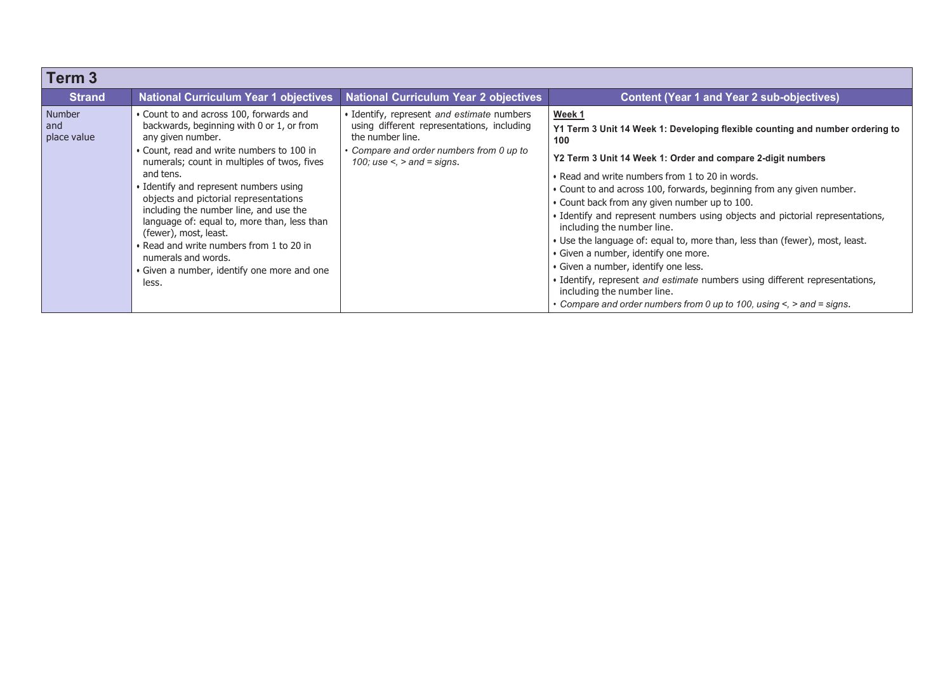| Term <sub>3</sub>                   |                                                                                                                                                                                                                                                                                                                                                                                                                                                                                                                                                    |                                                                                                                                                                                                 |                                                                                                                                                                                                                                                                                                                                                                                                                                                                                                                                                                                                                                                                                                                                                                                                                |
|-------------------------------------|----------------------------------------------------------------------------------------------------------------------------------------------------------------------------------------------------------------------------------------------------------------------------------------------------------------------------------------------------------------------------------------------------------------------------------------------------------------------------------------------------------------------------------------------------|-------------------------------------------------------------------------------------------------------------------------------------------------------------------------------------------------|----------------------------------------------------------------------------------------------------------------------------------------------------------------------------------------------------------------------------------------------------------------------------------------------------------------------------------------------------------------------------------------------------------------------------------------------------------------------------------------------------------------------------------------------------------------------------------------------------------------------------------------------------------------------------------------------------------------------------------------------------------------------------------------------------------------|
| <b>Strand</b>                       | <b>National Curriculum Year 1 objectives</b>                                                                                                                                                                                                                                                                                                                                                                                                                                                                                                       | <b>National Curriculum Year 2 objectives</b>                                                                                                                                                    | <b>Content (Year 1 and Year 2 sub-objectives)</b>                                                                                                                                                                                                                                                                                                                                                                                                                                                                                                                                                                                                                                                                                                                                                              |
| <b>Number</b><br>and<br>place value | • Count to and across 100, forwards and<br>backwards, beginning with 0 or 1, or from<br>any given number.<br>• Count, read and write numbers to 100 in<br>numerals; count in multiples of twos, fives<br>and tens.<br>• Identify and represent numbers using<br>objects and pictorial representations<br>including the number line, and use the<br>language of: equal to, more than, less than<br>(fewer), most, least.<br>• Read and write numbers from 1 to 20 in<br>numerals and words.<br>• Given a number, identify one more and one<br>less. | • Identify, represent and estimate numbers<br>using different representations, including<br>the number line.<br>• Compare and order numbers from 0 up to<br>100; use $\le$ , $>$ and $=$ signs. | Week 1<br>Y1 Term 3 Unit 14 Week 1: Developing flexible counting and number ordering to<br>100<br>Y2 Term 3 Unit 14 Week 1: Order and compare 2-digit numbers<br>• Read and write numbers from 1 to 20 in words.<br>. Count to and across 100, forwards, beginning from any given number.<br>• Count back from any given number up to 100.<br>· Identify and represent numbers using objects and pictorial representations,<br>including the number line.<br>• Use the language of: equal to, more than, less than (fewer), most, least.<br>· Given a number, identify one more.<br>• Given a number, identify one less.<br>• Identify, represent and estimate numbers using different representations,<br>including the number line.<br>• Compare and order numbers from 0 up to 100, using <, > and = signs. |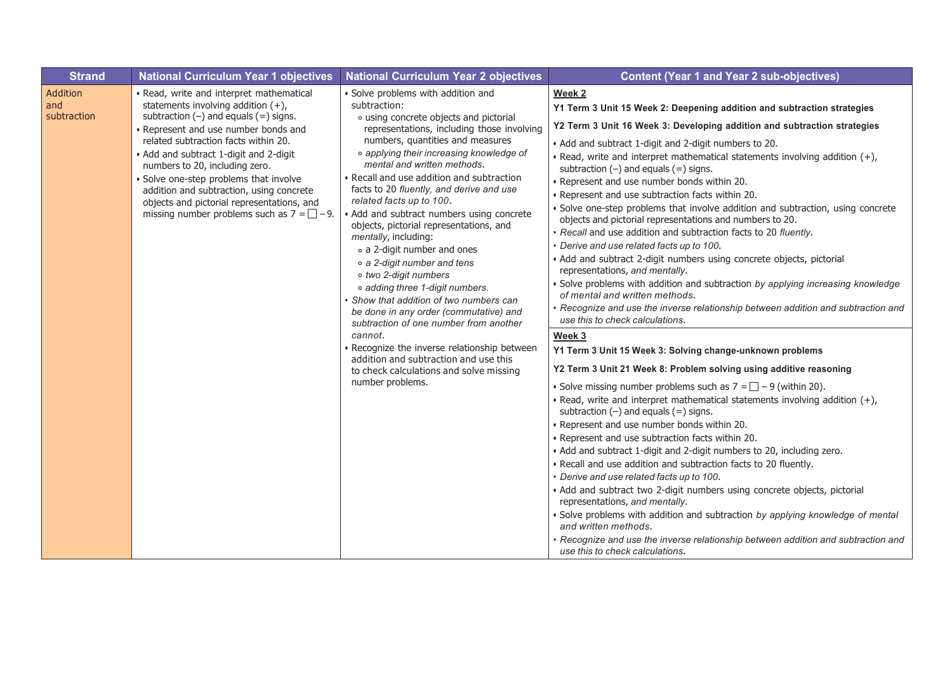| <b>Strand</b>                         | <b>National Curriculum Year 1 objectives</b>                                                                                                                                                                                                                                                                                                                                                                                                                                          | <b>National Curriculum Year 2 objectives</b>                                                                                                                                                                                                                                                                                                                                                                                                                                                                                                                                                                                                                                                                                                                                                                                                                                                                               | <b>Content (Year 1 and Year 2 sub-objectives)</b>                                                                                                                                                                                                                                                                                                                                                                                                                                                                                                                                                                                                                                                                                                                                                                                                                                                                                                                                                                                                                                                                                                                                                                                                                                                                                                                                                                                                                                                                                                                                                                                                                                                                                                                                                                                                                                                                                                                                                                                                                             |
|---------------------------------------|---------------------------------------------------------------------------------------------------------------------------------------------------------------------------------------------------------------------------------------------------------------------------------------------------------------------------------------------------------------------------------------------------------------------------------------------------------------------------------------|----------------------------------------------------------------------------------------------------------------------------------------------------------------------------------------------------------------------------------------------------------------------------------------------------------------------------------------------------------------------------------------------------------------------------------------------------------------------------------------------------------------------------------------------------------------------------------------------------------------------------------------------------------------------------------------------------------------------------------------------------------------------------------------------------------------------------------------------------------------------------------------------------------------------------|-------------------------------------------------------------------------------------------------------------------------------------------------------------------------------------------------------------------------------------------------------------------------------------------------------------------------------------------------------------------------------------------------------------------------------------------------------------------------------------------------------------------------------------------------------------------------------------------------------------------------------------------------------------------------------------------------------------------------------------------------------------------------------------------------------------------------------------------------------------------------------------------------------------------------------------------------------------------------------------------------------------------------------------------------------------------------------------------------------------------------------------------------------------------------------------------------------------------------------------------------------------------------------------------------------------------------------------------------------------------------------------------------------------------------------------------------------------------------------------------------------------------------------------------------------------------------------------------------------------------------------------------------------------------------------------------------------------------------------------------------------------------------------------------------------------------------------------------------------------------------------------------------------------------------------------------------------------------------------------------------------------------------------------------------------------------------------|
| <b>Addition</b><br>and<br>subtraction | • Read, write and interpret mathematical<br>statements involving addition $(+)$ ,<br>subtraction $(-)$ and equals $(=)$ signs.<br>• Represent and use number bonds and<br>related subtraction facts within 20.<br>• Add and subtract 1-digit and 2-digit<br>numbers to 20, including zero.<br>· Solve one-step problems that involve<br>addition and subtraction, using concrete<br>objects and pictorial representations, and<br>missing number problems such as $7 = \square - 9$ . | · Solve problems with addition and<br>subtraction:<br>• using concrete objects and pictorial<br>representations, including those involving<br>numbers, quantities and measures<br>o applying their increasing knowledge of<br>mental and written methods.<br>• Recall and use addition and subtraction<br>facts to 20 fluently, and derive and use<br>related facts up to 100.<br>• Add and subtract numbers using concrete<br>objects, pictorial representations, and<br>mentally, including:<br>o a 2-digit number and ones<br>o a 2-digit number and tens<br>o two 2-digit numbers<br>o adding three 1-digit numbers.<br>• Show that addition of two numbers can<br>be done in any order (commutative) and<br>subtraction of one number from another<br>cannot.<br>· Recognize the inverse relationship between<br>addition and subtraction and use this<br>to check calculations and solve missing<br>number problems. | Week 2<br>Y1 Term 3 Unit 15 Week 2: Deepening addition and subtraction strategies<br>Y2 Term 3 Unit 16 Week 3: Developing addition and subtraction strategies<br>• Add and subtract 1-digit and 2-digit numbers to 20.<br>• Read, write and interpret mathematical statements involving addition $(+)$ ,<br>subtraction $(-)$ and equals $(=)$ signs.<br>• Represent and use number bonds within 20.<br>• Represent and use subtraction facts within 20.<br>· Solve one-step problems that involve addition and subtraction, using concrete<br>objects and pictorial representations and numbers to 20.<br>· Recall and use addition and subtraction facts to 20 fluently.<br>· Derive and use related facts up to 100.<br>· Add and subtract 2-digit numbers using concrete objects, pictorial<br>representations, and mentally.<br>· Solve problems with addition and subtraction by applying increasing knowledge<br>of mental and written methods.<br>• Recognize and use the inverse relationship between addition and subtraction and<br>use this to check calculations.<br>Week 3<br>Y1 Term 3 Unit 15 Week 3: Solving change-unknown problems<br>Y2 Term 3 Unit 21 Week 8: Problem solving using additive reasoning<br>• Solve missing number problems such as $7 = \square - 9$ (within 20).<br>. Read, write and interpret mathematical statements involving addition (+),<br>subtraction $(-)$ and equals $(=)$ signs.<br>• Represent and use number bonds within 20.<br>• Represent and use subtraction facts within 20.<br>• Add and subtract 1-digit and 2-digit numbers to 20, including zero.<br>. Recall and use addition and subtraction facts to 20 fluently.<br>• Derive and use related facts up to 100.<br>• Add and subtract two 2-digit numbers using concrete objects, pictorial<br>representations, and mentally.<br>· Solve problems with addition and subtraction by applying knowledge of mental<br>and written methods.<br>· Recognize and use the inverse relationship between addition and subtraction and<br>use this to check calculations. |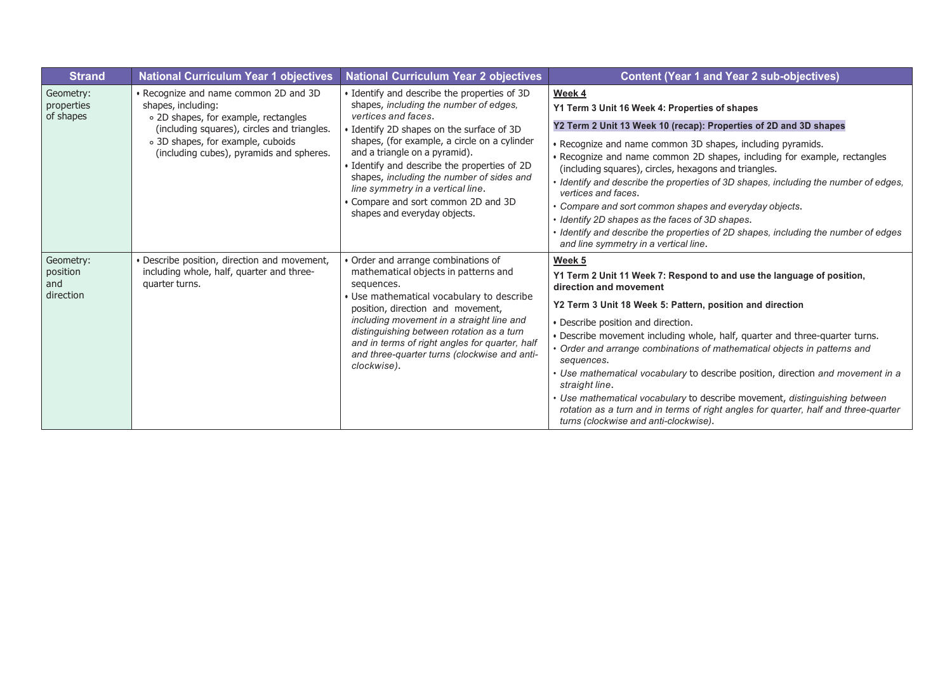| <b>Strand</b>                             | <b>National Curriculum Year 1 objectives</b>                                                                                                                                                                                        | <b>National Curriculum Year 2 objectives</b>                                                                                                                                                                                                                                                                                                                                                                                                       | <b>Content (Year 1 and Year 2 sub-objectives)</b>                                                                                                                                                                                                                                                                                                                                                                                                                                                                                                                                                                                                                                                       |
|-------------------------------------------|-------------------------------------------------------------------------------------------------------------------------------------------------------------------------------------------------------------------------------------|----------------------------------------------------------------------------------------------------------------------------------------------------------------------------------------------------------------------------------------------------------------------------------------------------------------------------------------------------------------------------------------------------------------------------------------------------|---------------------------------------------------------------------------------------------------------------------------------------------------------------------------------------------------------------------------------------------------------------------------------------------------------------------------------------------------------------------------------------------------------------------------------------------------------------------------------------------------------------------------------------------------------------------------------------------------------------------------------------------------------------------------------------------------------|
| Geometry:<br>properties<br>of shapes      | • Recognize and name common 2D and 3D<br>shapes, including:<br>o 2D shapes, for example, rectangles<br>(including squares), circles and triangles.<br>o 3D shapes, for example, cuboids<br>(including cubes), pyramids and spheres. | • Identify and describe the properties of 3D<br>shapes, including the number of edges,<br>vertices and faces.<br>· Identify 2D shapes on the surface of 3D<br>shapes, (for example, a circle on a cylinder<br>and a triangle on a pyramid).<br>Identify and describe the properties of 2D<br>shapes, including the number of sides and<br>line symmetry in a vertical line.<br>• Compare and sort common 2D and 3D<br>shapes and everyday objects. | Week 4<br>Y1 Term 3 Unit 16 Week 4: Properties of shapes<br>Y2 Term 2 Unit 13 Week 10 (recap): Properties of 2D and 3D shapes<br>· Recognize and name common 3D shapes, including pyramids.<br>• Recognize and name common 2D shapes, including for example, rectangles<br>(including squares), circles, hexagons and triangles.<br>· Identify and describe the properties of 3D shapes, including the number of edges,<br>vertices and faces.<br>• Compare and sort common shapes and everyday objects.<br>• Identify 2D shapes as the faces of 3D shapes.<br>I dentify and describe the properties of 2D shapes, including the number of edges<br>and line symmetry in a vertical line.               |
| Geometry:<br>position<br>and<br>direction | · Describe position, direction and movement,<br>including whole, half, quarter and three-<br>quarter turns.                                                                                                                         | • Order and arrange combinations of<br>mathematical objects in patterns and<br>sequences.<br>• Use mathematical vocabulary to describe<br>position, direction and movement,<br>including movement in a straight line and<br>distinguishing between rotation as a turn<br>and in terms of right angles for quarter, half<br>and three-quarter turns (clockwise and anti-<br>clockwise).                                                             | Week 5<br>Y1 Term 2 Unit 11 Week 7: Respond to and use the language of position,<br>direction and movement<br>Y2 Term 3 Unit 18 Week 5: Pattern, position and direction<br>• Describe position and direction.<br>. Describe movement including whole, half, quarter and three-quarter turns.<br>• Order and arrange combinations of mathematical objects in patterns and<br>sequences.<br>Use mathematical vocabulary to describe position, direction and movement in a<br>straight line.<br>· Use mathematical vocabulary to describe movement, distinguishing between<br>rotation as a turn and in terms of right angles for quarter, half and three-quarter<br>turns (clockwise and anti-clockwise). |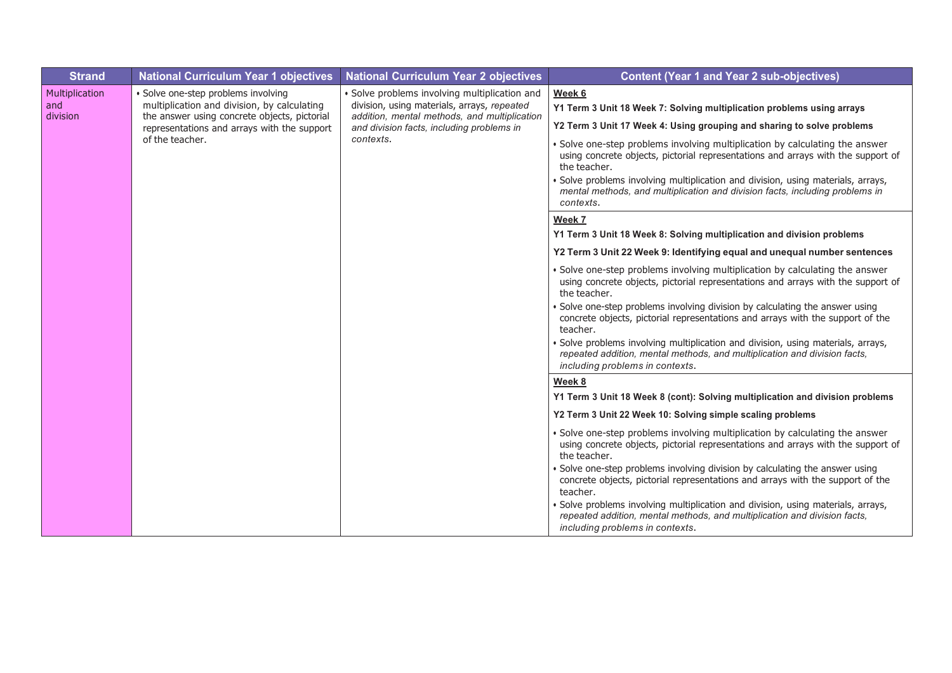| <b>Strand</b>                     | <b>National Curriculum Year 1 objectives</b>                                                                                                                                                         | <b>National Curriculum Year 2 objectives</b>                                                                                                                                                           | <b>Content (Year 1 and Year 2 sub-objectives)</b>                                                                                                                                                                                                                                                                                                                                                                                                                                                                                                              |
|-----------------------------------|------------------------------------------------------------------------------------------------------------------------------------------------------------------------------------------------------|--------------------------------------------------------------------------------------------------------------------------------------------------------------------------------------------------------|----------------------------------------------------------------------------------------------------------------------------------------------------------------------------------------------------------------------------------------------------------------------------------------------------------------------------------------------------------------------------------------------------------------------------------------------------------------------------------------------------------------------------------------------------------------|
| Multiplication<br>and<br>division | · Solve one-step problems involving<br>multiplication and division, by calculating<br>the answer using concrete objects, pictorial<br>representations and arrays with the support<br>of the teacher. | · Solve problems involving multiplication and<br>division, using materials, arrays, repeated<br>addition, mental methods, and multiplication<br>and division facts, including problems in<br>contexts. | Week 6<br>Y1 Term 3 Unit 18 Week 7: Solving multiplication problems using arrays<br>Y2 Term 3 Unit 17 Week 4: Using grouping and sharing to solve problems<br>· Solve one-step problems involving multiplication by calculating the answer<br>using concrete objects, pictorial representations and arrays with the support of<br>the teacher.<br>Solve problems involving multiplication and division, using materials, arrays,<br>mental methods, and multiplication and division facts, including problems in<br>contexts.                                  |
|                                   |                                                                                                                                                                                                      |                                                                                                                                                                                                        | Week 7                                                                                                                                                                                                                                                                                                                                                                                                                                                                                                                                                         |
|                                   |                                                                                                                                                                                                      |                                                                                                                                                                                                        | Y1 Term 3 Unit 18 Week 8: Solving multiplication and division problems<br>Y2 Term 3 Unit 22 Week 9: Identifying equal and unequal number sentences                                                                                                                                                                                                                                                                                                                                                                                                             |
|                                   |                                                                                                                                                                                                      |                                                                                                                                                                                                        | · Solve one-step problems involving multiplication by calculating the answer<br>using concrete objects, pictorial representations and arrays with the support of<br>the teacher.<br>Solve one-step problems involving division by calculating the answer using<br>concrete objects, pictorial representations and arrays with the support of the<br>teacher.<br>Solve problems involving multiplication and division, using materials, arrays,<br>repeated addition, mental methods, and multiplication and division facts,<br>including problems in contexts. |
|                                   |                                                                                                                                                                                                      |                                                                                                                                                                                                        | Week 8                                                                                                                                                                                                                                                                                                                                                                                                                                                                                                                                                         |
|                                   |                                                                                                                                                                                                      |                                                                                                                                                                                                        | Y1 Term 3 Unit 18 Week 8 (cont): Solving multiplication and division problems<br>Y2 Term 3 Unit 22 Week 10: Solving simple scaling problems                                                                                                                                                                                                                                                                                                                                                                                                                    |
|                                   |                                                                                                                                                                                                      |                                                                                                                                                                                                        | · Solve one-step problems involving multiplication by calculating the answer<br>using concrete objects, pictorial representations and arrays with the support of<br>the teacher.<br>Solve one-step problems involving division by calculating the answer using<br>concrete objects, pictorial representations and arrays with the support of the<br>teacher.<br>Solve problems involving multiplication and division, using materials, arrays,<br>repeated addition, mental methods, and multiplication and division facts,<br>including problems in contexts. |